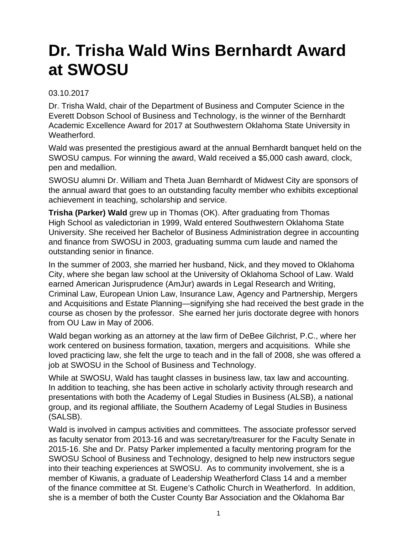## **Dr. Trisha Wald Wins Bernhardt Award at SWOSU**

## 03.10.2017

Dr. Trisha Wald, chair of the Department of Business and Computer Science in the Everett Dobson School of Business and Technology, is the winner of the Bernhardt Academic Excellence Award for 2017 at Southwestern Oklahoma State University in **Weatherford** 

Wald was presented the prestigious award at the annual Bernhardt banquet held on the SWOSU campus. For winning the award, Wald received a \$5,000 cash award, clock, pen and medallion.

SWOSU alumni Dr. William and Theta Juan Bernhardt of Midwest City are sponsors of the annual award that goes to an outstanding faculty member who exhibits exceptional achievement in teaching, scholarship and service.

**Trisha (Parker) Wald** grew up in Thomas (OK). After graduating from Thomas High School as valedictorian in 1999, Wald entered Southwestern Oklahoma State University. She received her Bachelor of Business Administration degree in accounting and finance from SWOSU in 2003, graduating summa cum laude and named the outstanding senior in finance.

In the summer of 2003, she married her husband, Nick, and they moved to Oklahoma City, where she began law school at the University of Oklahoma School of Law. Wald earned American Jurisprudence (AmJur) awards in Legal Research and Writing, Criminal Law, European Union Law, Insurance Law, Agency and Partnership, Mergers and Acquisitions and Estate Planning—signifying she had received the best grade in the course as chosen by the professor. She earned her juris doctorate degree with honors from OU Law in May of 2006.

Wald began working as an attorney at the law firm of DeBee Gilchrist, P.C., where her work centered on business formation, taxation, mergers and acquisitions. While she loved practicing law, she felt the urge to teach and in the fall of 2008, she was offered a job at SWOSU in the School of Business and Technology.

While at SWOSU, Wald has taught classes in business law, tax law and accounting. In addition to teaching, she has been active in scholarly activity through research and presentations with both the Academy of Legal Studies in Business (ALSB), a national group, and its regional affiliate, the Southern Academy of Legal Studies in Business (SALSB).

Wald is involved in campus activities and committees. The associate professor served as faculty senator from 2013-16 and was secretary/treasurer for the Faculty Senate in 2015-16. She and Dr. Patsy Parker implemented a faculty mentoring program for the SWOSU School of Business and Technology, designed to help new instructors segue into their teaching experiences at SWOSU. As to community involvement, she is a member of Kiwanis, a graduate of Leadership Weatherford Class 14 and a member of the finance committee at St. Eugene's Catholic Church in Weatherford. In addition, she is a member of both the Custer County Bar Association and the Oklahoma Bar